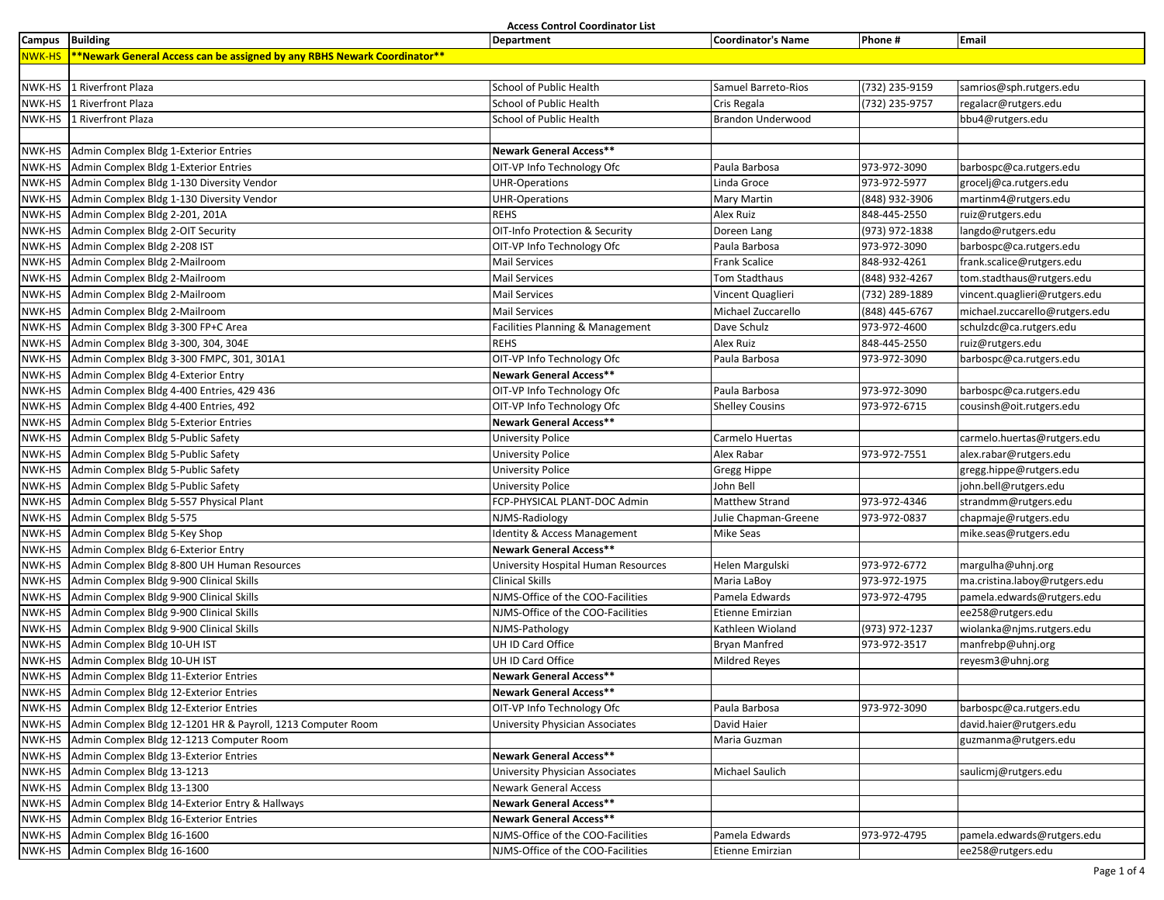**Access Control Coordinator List**

| <b>NWK-HS</b><br>**Newark General Access can be assigned by any RBHS Newark Coordinator**<br>NWK-HS<br>1 Riverfront Plaza<br>School of Public Health<br>(732) 235-9159<br>Samuel Barreto-Rios<br>samrios@sph.rutgers.edu<br>NWK-HS<br>1 Riverfront Plaza<br>School of Public Health<br>Cris Regala<br>(732) 235-9757<br>regalacr@rutgers.edu<br>NWK-HS<br>1 Riverfront Plaza<br>School of Public Health<br><b>Brandon Underwood</b><br>bbu4@rutgers.edu<br>Admin Complex Bldg 1-Exterior Entries<br>Newark General Access**<br>NWK-HS<br>NWK-HS<br>Admin Complex Bldg 1-Exterior Entries<br>OIT-VP Info Technology Ofc<br>Paula Barbosa<br>973-972-3090<br>barbospc@ca.rutgers.edu<br>973-972-5977<br>NWK-HS<br>Admin Complex Bldg 1-130 Diversity Vendor<br><b>UHR-Operations</b><br>Linda Groce<br>grocelj@ca.rutgers.edu<br>NWK-HS<br>Admin Complex Bldg 1-130 Diversity Vendor<br>(848) 932-3906<br>martinm4@rutgers.edu<br><b>UHR-Operations</b><br>Mary Martin<br><b>REHS</b><br>848-445-2550<br>NWK-HS<br>Admin Complex Bldg 2-201, 201A<br>Alex Ruiz<br>ruiz@rutgers.edu<br>(973) 972-1838<br>NWK-HS<br>Admin Complex Bldg 2-OIT Security<br>OIT-Info Protection & Security<br>langdo@rutgers.edu<br>Doreen Lang<br>973-972-3090<br>NWK-HS<br>Admin Complex Bldg 2-208 IST<br>OIT-VP Info Technology Ofc<br>Paula Barbosa<br>barbospc@ca.rutgers.edu<br>NWK-HS<br>Admin Complex Bldg 2-Mailroom<br>Frank Scalice<br>848-932-4261<br>frank.scalice@rutgers.edu<br><b>Mail Services</b><br>NWK-HS<br>Admin Complex Bldg 2-Mailroom<br>(848) 932-4267<br><b>Mail Services</b><br>Tom Stadthaus<br>tom.stadthaus@rutgers.edu<br>NWK-HS<br>Admin Complex Bldg 2-Mailroom<br><b>Mail Services</b><br>Vincent Quaglieri<br>(732) 289-1889<br>vincent.quaglieri@rutgers.edu<br>(848) 445-6767<br>NWK-HS Admin Complex Bldg 2-Mailroom<br><b>Mail Services</b><br>Michael Zuccarello<br>michael.zuccarello@rutgers.edu<br>973-972-4600<br>NWK-HS<br>Admin Complex Bldg 3-300 FP+C Area<br>Facilities Planning & Management<br>Dave Schulz<br>schulzdc@ca.rutgers.edu<br>848-445-2550<br>ruiz@rutgers.edu<br>NWK-HS<br>Admin Complex Bldg 3-300, 304, 304E<br>Alex Ruiz<br><b>REHS</b><br>NWK-HS<br>Admin Complex Bldg 3-300 FMPC, 301, 301A1<br>OIT-VP Info Technology Ofc<br>Paula Barbosa<br>973-972-3090<br>barbospc@ca.rutgers.edu<br>Newark General Access**<br>Admin Complex Bldg 4-Exterior Entry<br>NWK-HS<br>Paula Barbosa<br>973-972-3090<br>NWK-HS Admin Complex Bldg 4-400 Entries, 429 436<br>OIT-VP Info Technology Ofc<br>barbospc@ca.rutgers.edu<br>973-972-6715<br>NWK-HS<br>Admin Complex Bldg 4-400 Entries, 492<br>OIT-VP Info Technology Ofc<br>cousinsh@oit.rutgers.edu<br><b>Shelley Cousins</b><br>Newark General Access**<br>NWK-HS<br>Admin Complex Bldg 5-Exterior Entries<br>NWK-HS<br>Admin Complex Bldg 5-Public Safety<br><b>University Police</b><br>Carmelo Huertas<br>carmelo.huertas@rutgers.edu<br>NWK-HS<br>Admin Complex Bldg 5-Public Safety<br><b>University Police</b><br>973-972-7551<br>Alex Rabar<br>alex.rabar@rutgers.edu<br>NWK-HS Admin Complex Bldg 5-Public Safety<br><b>University Police</b><br>Gregg Hippe<br>gregg.hippe@rutgers.edu<br>John Bell<br>NWK-HS<br>Admin Complex Bldg 5-Public Safety<br>john.bell@rutgers.edu<br><b>University Police</b><br>973-972-4346<br>NWK-HS<br>Admin Complex Bldg 5-557 Physical Plant<br>FCP-PHYSICAL PLANT-DOC Admin<br>Matthew Strand<br>strandmm@rutgers.edu<br>NWK-HS<br>Admin Complex Bldg 5-575<br>973-972-0837<br>chapmaje@rutgers.edu<br>NJMS-Radiology<br>Julie Chapman-Greene<br>NWK-HS<br>Admin Complex Bldg 5-Key Shop<br>Identity & Access Management<br>mike.seas@rutgers.edu<br>Mike Seas<br><b>Newark General Access**</b><br>NWK-HS<br>Admin Complex Bldg 6-Exterior Entry<br>973-972-6772<br>NWK-HS<br>Admin Complex Bldg 8-800 UH Human Resources<br>Helen Margulski<br>margulha@uhnj.org<br>University Hospital Human Resources<br>Admin Complex Bldg 9-900 Clinical Skills<br><b>Clinical Skills</b><br>973-972-1975<br>NWK-HS<br>Maria LaBoy<br>ma.cristina.laboy@rutgers.edu<br>Admin Complex Bldg 9-900 Clinical Skills<br>NJMS-Office of the COO-Facilities<br>Pamela Edwards<br>973-972-4795<br>pamela.edwards@rutgers.edu<br>NWK-HS<br>NWK-HS<br>Admin Complex Bldg 9-900 Clinical Skills<br>NJMS-Office of the COO-Facilities<br>ee258@rutgers.edu<br>Etienne Emirzian<br>Admin Complex Bldg 9-900 Clinical Skills<br>(973) 972-1237<br>NWK-HS<br>NJMS-Pathology<br>Kathleen Wioland<br>wiolanka@njms.rutgers.edu<br>UH ID Card Office<br>973-972-3517<br>NWK-HS<br>Admin Complex Bldg 10-UH IST<br><b>Bryan Manfred</b><br>manfrebp@uhnj.org<br>Admin Complex Bldg 10-UH IST<br>UH ID Card Office<br>NWK-HS<br><b>Mildred Reyes</b><br>reyesm3@uhnj.org<br>NWK-HS<br>Admin Complex Bldg 11-Exterior Entries<br>Newark General Access**<br>NWK-HS Admin Complex Bldg 12-Exterior Entries<br>Newark General Access**<br>973-972-3090<br>NWK-HS Admin Complex Bldg 12-Exterior Entries<br>OIT-VP Info Technology Ofc<br>Paula Barbosa<br>barbospc@ca.rutgers.edu | Campus Building | Department | <b>Coordinator's Name</b> | Phone # | Email |
|---------------------------------------------------------------------------------------------------------------------------------------------------------------------------------------------------------------------------------------------------------------------------------------------------------------------------------------------------------------------------------------------------------------------------------------------------------------------------------------------------------------------------------------------------------------------------------------------------------------------------------------------------------------------------------------------------------------------------------------------------------------------------------------------------------------------------------------------------------------------------------------------------------------------------------------------------------------------------------------------------------------------------------------------------------------------------------------------------------------------------------------------------------------------------------------------------------------------------------------------------------------------------------------------------------------------------------------------------------------------------------------------------------------------------------------------------------------------------------------------------------------------------------------------------------------------------------------------------------------------------------------------------------------------------------------------------------------------------------------------------------------------------------------------------------------------------------------------------------------------------------------------------------------------------------------------------------------------------------------------------------------------------------------------------------------------------------------------------------------------------------------------------------------------------------------------------------------------------------------------------------------------------------------------------------------------------------------------------------------------------------------------------------------------------------------------------------------------------------------------------------------------------------------------------------------------------------------------------------------------------------------------------------------------------------------------------------------------------------------------------------------------------------------------------------------------------------------------------------------------------------------------------------------------------------------------------------------------------------------------------------------------------------------------------------------------------------------------------------------------------------------------------------------------------------------------------------------------------------------------------------------------------------------------------------------------------------------------------------------------------------------------------------------------------------------------------------------------------------------------------------------------------------------------------------------------------------------------------------------------------------------------------------------------------------------------------------------------------------------------------------------------------------------------------------------------------------------------------------------------------------------------------------------------------------------------------------------------------------------------------------------------------------------------------------------------------------------------------------------------------------------------------------------------------------------------------------------------------------------------------------------------------------------------------------------------------------------------------------------------------------------------------------------------------------------------------------------------------------------------------------------------------------------------------------------------------------------------------------------------------------------------------------------------------------------------------------------------------------------------------------------------------------------------------------------------------------------------------------------------------------------------------------------------------------------------------------------------------------------------------------------------------------------------------------------------------------------|-----------------|------------|---------------------------|---------|-------|
|                                                                                                                                                                                                                                                                                                                                                                                                                                                                                                                                                                                                                                                                                                                                                                                                                                                                                                                                                                                                                                                                                                                                                                                                                                                                                                                                                                                                                                                                                                                                                                                                                                                                                                                                                                                                                                                                                                                                                                                                                                                                                                                                                                                                                                                                                                                                                                                                                                                                                                                                                                                                                                                                                                                                                                                                                                                                                                                                                                                                                                                                                                                                                                                                                                                                                                                                                                                                                                                                                                                                                                                                                                                                                                                                                                                                                                                                                                                                                                                                                                                                                                                                                                                                                                                                                                                                                                                                                                                                                                                                                                                                                                                                                                                                                                                                                                                                                                                                                                                                                                                                                       |                 |            |                           |         |       |
|                                                                                                                                                                                                                                                                                                                                                                                                                                                                                                                                                                                                                                                                                                                                                                                                                                                                                                                                                                                                                                                                                                                                                                                                                                                                                                                                                                                                                                                                                                                                                                                                                                                                                                                                                                                                                                                                                                                                                                                                                                                                                                                                                                                                                                                                                                                                                                                                                                                                                                                                                                                                                                                                                                                                                                                                                                                                                                                                                                                                                                                                                                                                                                                                                                                                                                                                                                                                                                                                                                                                                                                                                                                                                                                                                                                                                                                                                                                                                                                                                                                                                                                                                                                                                                                                                                                                                                                                                                                                                                                                                                                                                                                                                                                                                                                                                                                                                                                                                                                                                                                                                       |                 |            |                           |         |       |
|                                                                                                                                                                                                                                                                                                                                                                                                                                                                                                                                                                                                                                                                                                                                                                                                                                                                                                                                                                                                                                                                                                                                                                                                                                                                                                                                                                                                                                                                                                                                                                                                                                                                                                                                                                                                                                                                                                                                                                                                                                                                                                                                                                                                                                                                                                                                                                                                                                                                                                                                                                                                                                                                                                                                                                                                                                                                                                                                                                                                                                                                                                                                                                                                                                                                                                                                                                                                                                                                                                                                                                                                                                                                                                                                                                                                                                                                                                                                                                                                                                                                                                                                                                                                                                                                                                                                                                                                                                                                                                                                                                                                                                                                                                                                                                                                                                                                                                                                                                                                                                                                                       |                 |            |                           |         |       |
|                                                                                                                                                                                                                                                                                                                                                                                                                                                                                                                                                                                                                                                                                                                                                                                                                                                                                                                                                                                                                                                                                                                                                                                                                                                                                                                                                                                                                                                                                                                                                                                                                                                                                                                                                                                                                                                                                                                                                                                                                                                                                                                                                                                                                                                                                                                                                                                                                                                                                                                                                                                                                                                                                                                                                                                                                                                                                                                                                                                                                                                                                                                                                                                                                                                                                                                                                                                                                                                                                                                                                                                                                                                                                                                                                                                                                                                                                                                                                                                                                                                                                                                                                                                                                                                                                                                                                                                                                                                                                                                                                                                                                                                                                                                                                                                                                                                                                                                                                                                                                                                                                       |                 |            |                           |         |       |
|                                                                                                                                                                                                                                                                                                                                                                                                                                                                                                                                                                                                                                                                                                                                                                                                                                                                                                                                                                                                                                                                                                                                                                                                                                                                                                                                                                                                                                                                                                                                                                                                                                                                                                                                                                                                                                                                                                                                                                                                                                                                                                                                                                                                                                                                                                                                                                                                                                                                                                                                                                                                                                                                                                                                                                                                                                                                                                                                                                                                                                                                                                                                                                                                                                                                                                                                                                                                                                                                                                                                                                                                                                                                                                                                                                                                                                                                                                                                                                                                                                                                                                                                                                                                                                                                                                                                                                                                                                                                                                                                                                                                                                                                                                                                                                                                                                                                                                                                                                                                                                                                                       |                 |            |                           |         |       |
|                                                                                                                                                                                                                                                                                                                                                                                                                                                                                                                                                                                                                                                                                                                                                                                                                                                                                                                                                                                                                                                                                                                                                                                                                                                                                                                                                                                                                                                                                                                                                                                                                                                                                                                                                                                                                                                                                                                                                                                                                                                                                                                                                                                                                                                                                                                                                                                                                                                                                                                                                                                                                                                                                                                                                                                                                                                                                                                                                                                                                                                                                                                                                                                                                                                                                                                                                                                                                                                                                                                                                                                                                                                                                                                                                                                                                                                                                                                                                                                                                                                                                                                                                                                                                                                                                                                                                                                                                                                                                                                                                                                                                                                                                                                                                                                                                                                                                                                                                                                                                                                                                       |                 |            |                           |         |       |
|                                                                                                                                                                                                                                                                                                                                                                                                                                                                                                                                                                                                                                                                                                                                                                                                                                                                                                                                                                                                                                                                                                                                                                                                                                                                                                                                                                                                                                                                                                                                                                                                                                                                                                                                                                                                                                                                                                                                                                                                                                                                                                                                                                                                                                                                                                                                                                                                                                                                                                                                                                                                                                                                                                                                                                                                                                                                                                                                                                                                                                                                                                                                                                                                                                                                                                                                                                                                                                                                                                                                                                                                                                                                                                                                                                                                                                                                                                                                                                                                                                                                                                                                                                                                                                                                                                                                                                                                                                                                                                                                                                                                                                                                                                                                                                                                                                                                                                                                                                                                                                                                                       |                 |            |                           |         |       |
|                                                                                                                                                                                                                                                                                                                                                                                                                                                                                                                                                                                                                                                                                                                                                                                                                                                                                                                                                                                                                                                                                                                                                                                                                                                                                                                                                                                                                                                                                                                                                                                                                                                                                                                                                                                                                                                                                                                                                                                                                                                                                                                                                                                                                                                                                                                                                                                                                                                                                                                                                                                                                                                                                                                                                                                                                                                                                                                                                                                                                                                                                                                                                                                                                                                                                                                                                                                                                                                                                                                                                                                                                                                                                                                                                                                                                                                                                                                                                                                                                                                                                                                                                                                                                                                                                                                                                                                                                                                                                                                                                                                                                                                                                                                                                                                                                                                                                                                                                                                                                                                                                       |                 |            |                           |         |       |
|                                                                                                                                                                                                                                                                                                                                                                                                                                                                                                                                                                                                                                                                                                                                                                                                                                                                                                                                                                                                                                                                                                                                                                                                                                                                                                                                                                                                                                                                                                                                                                                                                                                                                                                                                                                                                                                                                                                                                                                                                                                                                                                                                                                                                                                                                                                                                                                                                                                                                                                                                                                                                                                                                                                                                                                                                                                                                                                                                                                                                                                                                                                                                                                                                                                                                                                                                                                                                                                                                                                                                                                                                                                                                                                                                                                                                                                                                                                                                                                                                                                                                                                                                                                                                                                                                                                                                                                                                                                                                                                                                                                                                                                                                                                                                                                                                                                                                                                                                                                                                                                                                       |                 |            |                           |         |       |
|                                                                                                                                                                                                                                                                                                                                                                                                                                                                                                                                                                                                                                                                                                                                                                                                                                                                                                                                                                                                                                                                                                                                                                                                                                                                                                                                                                                                                                                                                                                                                                                                                                                                                                                                                                                                                                                                                                                                                                                                                                                                                                                                                                                                                                                                                                                                                                                                                                                                                                                                                                                                                                                                                                                                                                                                                                                                                                                                                                                                                                                                                                                                                                                                                                                                                                                                                                                                                                                                                                                                                                                                                                                                                                                                                                                                                                                                                                                                                                                                                                                                                                                                                                                                                                                                                                                                                                                                                                                                                                                                                                                                                                                                                                                                                                                                                                                                                                                                                                                                                                                                                       |                 |            |                           |         |       |
|                                                                                                                                                                                                                                                                                                                                                                                                                                                                                                                                                                                                                                                                                                                                                                                                                                                                                                                                                                                                                                                                                                                                                                                                                                                                                                                                                                                                                                                                                                                                                                                                                                                                                                                                                                                                                                                                                                                                                                                                                                                                                                                                                                                                                                                                                                                                                                                                                                                                                                                                                                                                                                                                                                                                                                                                                                                                                                                                                                                                                                                                                                                                                                                                                                                                                                                                                                                                                                                                                                                                                                                                                                                                                                                                                                                                                                                                                                                                                                                                                                                                                                                                                                                                                                                                                                                                                                                                                                                                                                                                                                                                                                                                                                                                                                                                                                                                                                                                                                                                                                                                                       |                 |            |                           |         |       |
|                                                                                                                                                                                                                                                                                                                                                                                                                                                                                                                                                                                                                                                                                                                                                                                                                                                                                                                                                                                                                                                                                                                                                                                                                                                                                                                                                                                                                                                                                                                                                                                                                                                                                                                                                                                                                                                                                                                                                                                                                                                                                                                                                                                                                                                                                                                                                                                                                                                                                                                                                                                                                                                                                                                                                                                                                                                                                                                                                                                                                                                                                                                                                                                                                                                                                                                                                                                                                                                                                                                                                                                                                                                                                                                                                                                                                                                                                                                                                                                                                                                                                                                                                                                                                                                                                                                                                                                                                                                                                                                                                                                                                                                                                                                                                                                                                                                                                                                                                                                                                                                                                       |                 |            |                           |         |       |
|                                                                                                                                                                                                                                                                                                                                                                                                                                                                                                                                                                                                                                                                                                                                                                                                                                                                                                                                                                                                                                                                                                                                                                                                                                                                                                                                                                                                                                                                                                                                                                                                                                                                                                                                                                                                                                                                                                                                                                                                                                                                                                                                                                                                                                                                                                                                                                                                                                                                                                                                                                                                                                                                                                                                                                                                                                                                                                                                                                                                                                                                                                                                                                                                                                                                                                                                                                                                                                                                                                                                                                                                                                                                                                                                                                                                                                                                                                                                                                                                                                                                                                                                                                                                                                                                                                                                                                                                                                                                                                                                                                                                                                                                                                                                                                                                                                                                                                                                                                                                                                                                                       |                 |            |                           |         |       |
|                                                                                                                                                                                                                                                                                                                                                                                                                                                                                                                                                                                                                                                                                                                                                                                                                                                                                                                                                                                                                                                                                                                                                                                                                                                                                                                                                                                                                                                                                                                                                                                                                                                                                                                                                                                                                                                                                                                                                                                                                                                                                                                                                                                                                                                                                                                                                                                                                                                                                                                                                                                                                                                                                                                                                                                                                                                                                                                                                                                                                                                                                                                                                                                                                                                                                                                                                                                                                                                                                                                                                                                                                                                                                                                                                                                                                                                                                                                                                                                                                                                                                                                                                                                                                                                                                                                                                                                                                                                                                                                                                                                                                                                                                                                                                                                                                                                                                                                                                                                                                                                                                       |                 |            |                           |         |       |
|                                                                                                                                                                                                                                                                                                                                                                                                                                                                                                                                                                                                                                                                                                                                                                                                                                                                                                                                                                                                                                                                                                                                                                                                                                                                                                                                                                                                                                                                                                                                                                                                                                                                                                                                                                                                                                                                                                                                                                                                                                                                                                                                                                                                                                                                                                                                                                                                                                                                                                                                                                                                                                                                                                                                                                                                                                                                                                                                                                                                                                                                                                                                                                                                                                                                                                                                                                                                                                                                                                                                                                                                                                                                                                                                                                                                                                                                                                                                                                                                                                                                                                                                                                                                                                                                                                                                                                                                                                                                                                                                                                                                                                                                                                                                                                                                                                                                                                                                                                                                                                                                                       |                 |            |                           |         |       |
|                                                                                                                                                                                                                                                                                                                                                                                                                                                                                                                                                                                                                                                                                                                                                                                                                                                                                                                                                                                                                                                                                                                                                                                                                                                                                                                                                                                                                                                                                                                                                                                                                                                                                                                                                                                                                                                                                                                                                                                                                                                                                                                                                                                                                                                                                                                                                                                                                                                                                                                                                                                                                                                                                                                                                                                                                                                                                                                                                                                                                                                                                                                                                                                                                                                                                                                                                                                                                                                                                                                                                                                                                                                                                                                                                                                                                                                                                                                                                                                                                                                                                                                                                                                                                                                                                                                                                                                                                                                                                                                                                                                                                                                                                                                                                                                                                                                                                                                                                                                                                                                                                       |                 |            |                           |         |       |
|                                                                                                                                                                                                                                                                                                                                                                                                                                                                                                                                                                                                                                                                                                                                                                                                                                                                                                                                                                                                                                                                                                                                                                                                                                                                                                                                                                                                                                                                                                                                                                                                                                                                                                                                                                                                                                                                                                                                                                                                                                                                                                                                                                                                                                                                                                                                                                                                                                                                                                                                                                                                                                                                                                                                                                                                                                                                                                                                                                                                                                                                                                                                                                                                                                                                                                                                                                                                                                                                                                                                                                                                                                                                                                                                                                                                                                                                                                                                                                                                                                                                                                                                                                                                                                                                                                                                                                                                                                                                                                                                                                                                                                                                                                                                                                                                                                                                                                                                                                                                                                                                                       |                 |            |                           |         |       |
|                                                                                                                                                                                                                                                                                                                                                                                                                                                                                                                                                                                                                                                                                                                                                                                                                                                                                                                                                                                                                                                                                                                                                                                                                                                                                                                                                                                                                                                                                                                                                                                                                                                                                                                                                                                                                                                                                                                                                                                                                                                                                                                                                                                                                                                                                                                                                                                                                                                                                                                                                                                                                                                                                                                                                                                                                                                                                                                                                                                                                                                                                                                                                                                                                                                                                                                                                                                                                                                                                                                                                                                                                                                                                                                                                                                                                                                                                                                                                                                                                                                                                                                                                                                                                                                                                                                                                                                                                                                                                                                                                                                                                                                                                                                                                                                                                                                                                                                                                                                                                                                                                       |                 |            |                           |         |       |
|                                                                                                                                                                                                                                                                                                                                                                                                                                                                                                                                                                                                                                                                                                                                                                                                                                                                                                                                                                                                                                                                                                                                                                                                                                                                                                                                                                                                                                                                                                                                                                                                                                                                                                                                                                                                                                                                                                                                                                                                                                                                                                                                                                                                                                                                                                                                                                                                                                                                                                                                                                                                                                                                                                                                                                                                                                                                                                                                                                                                                                                                                                                                                                                                                                                                                                                                                                                                                                                                                                                                                                                                                                                                                                                                                                                                                                                                                                                                                                                                                                                                                                                                                                                                                                                                                                                                                                                                                                                                                                                                                                                                                                                                                                                                                                                                                                                                                                                                                                                                                                                                                       |                 |            |                           |         |       |
|                                                                                                                                                                                                                                                                                                                                                                                                                                                                                                                                                                                                                                                                                                                                                                                                                                                                                                                                                                                                                                                                                                                                                                                                                                                                                                                                                                                                                                                                                                                                                                                                                                                                                                                                                                                                                                                                                                                                                                                                                                                                                                                                                                                                                                                                                                                                                                                                                                                                                                                                                                                                                                                                                                                                                                                                                                                                                                                                                                                                                                                                                                                                                                                                                                                                                                                                                                                                                                                                                                                                                                                                                                                                                                                                                                                                                                                                                                                                                                                                                                                                                                                                                                                                                                                                                                                                                                                                                                                                                                                                                                                                                                                                                                                                                                                                                                                                                                                                                                                                                                                                                       |                 |            |                           |         |       |
|                                                                                                                                                                                                                                                                                                                                                                                                                                                                                                                                                                                                                                                                                                                                                                                                                                                                                                                                                                                                                                                                                                                                                                                                                                                                                                                                                                                                                                                                                                                                                                                                                                                                                                                                                                                                                                                                                                                                                                                                                                                                                                                                                                                                                                                                                                                                                                                                                                                                                                                                                                                                                                                                                                                                                                                                                                                                                                                                                                                                                                                                                                                                                                                                                                                                                                                                                                                                                                                                                                                                                                                                                                                                                                                                                                                                                                                                                                                                                                                                                                                                                                                                                                                                                                                                                                                                                                                                                                                                                                                                                                                                                                                                                                                                                                                                                                                                                                                                                                                                                                                                                       |                 |            |                           |         |       |
|                                                                                                                                                                                                                                                                                                                                                                                                                                                                                                                                                                                                                                                                                                                                                                                                                                                                                                                                                                                                                                                                                                                                                                                                                                                                                                                                                                                                                                                                                                                                                                                                                                                                                                                                                                                                                                                                                                                                                                                                                                                                                                                                                                                                                                                                                                                                                                                                                                                                                                                                                                                                                                                                                                                                                                                                                                                                                                                                                                                                                                                                                                                                                                                                                                                                                                                                                                                                                                                                                                                                                                                                                                                                                                                                                                                                                                                                                                                                                                                                                                                                                                                                                                                                                                                                                                                                                                                                                                                                                                                                                                                                                                                                                                                                                                                                                                                                                                                                                                                                                                                                                       |                 |            |                           |         |       |
|                                                                                                                                                                                                                                                                                                                                                                                                                                                                                                                                                                                                                                                                                                                                                                                                                                                                                                                                                                                                                                                                                                                                                                                                                                                                                                                                                                                                                                                                                                                                                                                                                                                                                                                                                                                                                                                                                                                                                                                                                                                                                                                                                                                                                                                                                                                                                                                                                                                                                                                                                                                                                                                                                                                                                                                                                                                                                                                                                                                                                                                                                                                                                                                                                                                                                                                                                                                                                                                                                                                                                                                                                                                                                                                                                                                                                                                                                                                                                                                                                                                                                                                                                                                                                                                                                                                                                                                                                                                                                                                                                                                                                                                                                                                                                                                                                                                                                                                                                                                                                                                                                       |                 |            |                           |         |       |
|                                                                                                                                                                                                                                                                                                                                                                                                                                                                                                                                                                                                                                                                                                                                                                                                                                                                                                                                                                                                                                                                                                                                                                                                                                                                                                                                                                                                                                                                                                                                                                                                                                                                                                                                                                                                                                                                                                                                                                                                                                                                                                                                                                                                                                                                                                                                                                                                                                                                                                                                                                                                                                                                                                                                                                                                                                                                                                                                                                                                                                                                                                                                                                                                                                                                                                                                                                                                                                                                                                                                                                                                                                                                                                                                                                                                                                                                                                                                                                                                                                                                                                                                                                                                                                                                                                                                                                                                                                                                                                                                                                                                                                                                                                                                                                                                                                                                                                                                                                                                                                                                                       |                 |            |                           |         |       |
|                                                                                                                                                                                                                                                                                                                                                                                                                                                                                                                                                                                                                                                                                                                                                                                                                                                                                                                                                                                                                                                                                                                                                                                                                                                                                                                                                                                                                                                                                                                                                                                                                                                                                                                                                                                                                                                                                                                                                                                                                                                                                                                                                                                                                                                                                                                                                                                                                                                                                                                                                                                                                                                                                                                                                                                                                                                                                                                                                                                                                                                                                                                                                                                                                                                                                                                                                                                                                                                                                                                                                                                                                                                                                                                                                                                                                                                                                                                                                                                                                                                                                                                                                                                                                                                                                                                                                                                                                                                                                                                                                                                                                                                                                                                                                                                                                                                                                                                                                                                                                                                                                       |                 |            |                           |         |       |
|                                                                                                                                                                                                                                                                                                                                                                                                                                                                                                                                                                                                                                                                                                                                                                                                                                                                                                                                                                                                                                                                                                                                                                                                                                                                                                                                                                                                                                                                                                                                                                                                                                                                                                                                                                                                                                                                                                                                                                                                                                                                                                                                                                                                                                                                                                                                                                                                                                                                                                                                                                                                                                                                                                                                                                                                                                                                                                                                                                                                                                                                                                                                                                                                                                                                                                                                                                                                                                                                                                                                                                                                                                                                                                                                                                                                                                                                                                                                                                                                                                                                                                                                                                                                                                                                                                                                                                                                                                                                                                                                                                                                                                                                                                                                                                                                                                                                                                                                                                                                                                                                                       |                 |            |                           |         |       |
|                                                                                                                                                                                                                                                                                                                                                                                                                                                                                                                                                                                                                                                                                                                                                                                                                                                                                                                                                                                                                                                                                                                                                                                                                                                                                                                                                                                                                                                                                                                                                                                                                                                                                                                                                                                                                                                                                                                                                                                                                                                                                                                                                                                                                                                                                                                                                                                                                                                                                                                                                                                                                                                                                                                                                                                                                                                                                                                                                                                                                                                                                                                                                                                                                                                                                                                                                                                                                                                                                                                                                                                                                                                                                                                                                                                                                                                                                                                                                                                                                                                                                                                                                                                                                                                                                                                                                                                                                                                                                                                                                                                                                                                                                                                                                                                                                                                                                                                                                                                                                                                                                       |                 |            |                           |         |       |
|                                                                                                                                                                                                                                                                                                                                                                                                                                                                                                                                                                                                                                                                                                                                                                                                                                                                                                                                                                                                                                                                                                                                                                                                                                                                                                                                                                                                                                                                                                                                                                                                                                                                                                                                                                                                                                                                                                                                                                                                                                                                                                                                                                                                                                                                                                                                                                                                                                                                                                                                                                                                                                                                                                                                                                                                                                                                                                                                                                                                                                                                                                                                                                                                                                                                                                                                                                                                                                                                                                                                                                                                                                                                                                                                                                                                                                                                                                                                                                                                                                                                                                                                                                                                                                                                                                                                                                                                                                                                                                                                                                                                                                                                                                                                                                                                                                                                                                                                                                                                                                                                                       |                 |            |                           |         |       |
|                                                                                                                                                                                                                                                                                                                                                                                                                                                                                                                                                                                                                                                                                                                                                                                                                                                                                                                                                                                                                                                                                                                                                                                                                                                                                                                                                                                                                                                                                                                                                                                                                                                                                                                                                                                                                                                                                                                                                                                                                                                                                                                                                                                                                                                                                                                                                                                                                                                                                                                                                                                                                                                                                                                                                                                                                                                                                                                                                                                                                                                                                                                                                                                                                                                                                                                                                                                                                                                                                                                                                                                                                                                                                                                                                                                                                                                                                                                                                                                                                                                                                                                                                                                                                                                                                                                                                                                                                                                                                                                                                                                                                                                                                                                                                                                                                                                                                                                                                                                                                                                                                       |                 |            |                           |         |       |
|                                                                                                                                                                                                                                                                                                                                                                                                                                                                                                                                                                                                                                                                                                                                                                                                                                                                                                                                                                                                                                                                                                                                                                                                                                                                                                                                                                                                                                                                                                                                                                                                                                                                                                                                                                                                                                                                                                                                                                                                                                                                                                                                                                                                                                                                                                                                                                                                                                                                                                                                                                                                                                                                                                                                                                                                                                                                                                                                                                                                                                                                                                                                                                                                                                                                                                                                                                                                                                                                                                                                                                                                                                                                                                                                                                                                                                                                                                                                                                                                                                                                                                                                                                                                                                                                                                                                                                                                                                                                                                                                                                                                                                                                                                                                                                                                                                                                                                                                                                                                                                                                                       |                 |            |                           |         |       |
|                                                                                                                                                                                                                                                                                                                                                                                                                                                                                                                                                                                                                                                                                                                                                                                                                                                                                                                                                                                                                                                                                                                                                                                                                                                                                                                                                                                                                                                                                                                                                                                                                                                                                                                                                                                                                                                                                                                                                                                                                                                                                                                                                                                                                                                                                                                                                                                                                                                                                                                                                                                                                                                                                                                                                                                                                                                                                                                                                                                                                                                                                                                                                                                                                                                                                                                                                                                                                                                                                                                                                                                                                                                                                                                                                                                                                                                                                                                                                                                                                                                                                                                                                                                                                                                                                                                                                                                                                                                                                                                                                                                                                                                                                                                                                                                                                                                                                                                                                                                                                                                                                       |                 |            |                           |         |       |
|                                                                                                                                                                                                                                                                                                                                                                                                                                                                                                                                                                                                                                                                                                                                                                                                                                                                                                                                                                                                                                                                                                                                                                                                                                                                                                                                                                                                                                                                                                                                                                                                                                                                                                                                                                                                                                                                                                                                                                                                                                                                                                                                                                                                                                                                                                                                                                                                                                                                                                                                                                                                                                                                                                                                                                                                                                                                                                                                                                                                                                                                                                                                                                                                                                                                                                                                                                                                                                                                                                                                                                                                                                                                                                                                                                                                                                                                                                                                                                                                                                                                                                                                                                                                                                                                                                                                                                                                                                                                                                                                                                                                                                                                                                                                                                                                                                                                                                                                                                                                                                                                                       |                 |            |                           |         |       |
|                                                                                                                                                                                                                                                                                                                                                                                                                                                                                                                                                                                                                                                                                                                                                                                                                                                                                                                                                                                                                                                                                                                                                                                                                                                                                                                                                                                                                                                                                                                                                                                                                                                                                                                                                                                                                                                                                                                                                                                                                                                                                                                                                                                                                                                                                                                                                                                                                                                                                                                                                                                                                                                                                                                                                                                                                                                                                                                                                                                                                                                                                                                                                                                                                                                                                                                                                                                                                                                                                                                                                                                                                                                                                                                                                                                                                                                                                                                                                                                                                                                                                                                                                                                                                                                                                                                                                                                                                                                                                                                                                                                                                                                                                                                                                                                                                                                                                                                                                                                                                                                                                       |                 |            |                           |         |       |
|                                                                                                                                                                                                                                                                                                                                                                                                                                                                                                                                                                                                                                                                                                                                                                                                                                                                                                                                                                                                                                                                                                                                                                                                                                                                                                                                                                                                                                                                                                                                                                                                                                                                                                                                                                                                                                                                                                                                                                                                                                                                                                                                                                                                                                                                                                                                                                                                                                                                                                                                                                                                                                                                                                                                                                                                                                                                                                                                                                                                                                                                                                                                                                                                                                                                                                                                                                                                                                                                                                                                                                                                                                                                                                                                                                                                                                                                                                                                                                                                                                                                                                                                                                                                                                                                                                                                                                                                                                                                                                                                                                                                                                                                                                                                                                                                                                                                                                                                                                                                                                                                                       |                 |            |                           |         |       |
|                                                                                                                                                                                                                                                                                                                                                                                                                                                                                                                                                                                                                                                                                                                                                                                                                                                                                                                                                                                                                                                                                                                                                                                                                                                                                                                                                                                                                                                                                                                                                                                                                                                                                                                                                                                                                                                                                                                                                                                                                                                                                                                                                                                                                                                                                                                                                                                                                                                                                                                                                                                                                                                                                                                                                                                                                                                                                                                                                                                                                                                                                                                                                                                                                                                                                                                                                                                                                                                                                                                                                                                                                                                                                                                                                                                                                                                                                                                                                                                                                                                                                                                                                                                                                                                                                                                                                                                                                                                                                                                                                                                                                                                                                                                                                                                                                                                                                                                                                                                                                                                                                       |                 |            |                           |         |       |
|                                                                                                                                                                                                                                                                                                                                                                                                                                                                                                                                                                                                                                                                                                                                                                                                                                                                                                                                                                                                                                                                                                                                                                                                                                                                                                                                                                                                                                                                                                                                                                                                                                                                                                                                                                                                                                                                                                                                                                                                                                                                                                                                                                                                                                                                                                                                                                                                                                                                                                                                                                                                                                                                                                                                                                                                                                                                                                                                                                                                                                                                                                                                                                                                                                                                                                                                                                                                                                                                                                                                                                                                                                                                                                                                                                                                                                                                                                                                                                                                                                                                                                                                                                                                                                                                                                                                                                                                                                                                                                                                                                                                                                                                                                                                                                                                                                                                                                                                                                                                                                                                                       |                 |            |                           |         |       |
|                                                                                                                                                                                                                                                                                                                                                                                                                                                                                                                                                                                                                                                                                                                                                                                                                                                                                                                                                                                                                                                                                                                                                                                                                                                                                                                                                                                                                                                                                                                                                                                                                                                                                                                                                                                                                                                                                                                                                                                                                                                                                                                                                                                                                                                                                                                                                                                                                                                                                                                                                                                                                                                                                                                                                                                                                                                                                                                                                                                                                                                                                                                                                                                                                                                                                                                                                                                                                                                                                                                                                                                                                                                                                                                                                                                                                                                                                                                                                                                                                                                                                                                                                                                                                                                                                                                                                                                                                                                                                                                                                                                                                                                                                                                                                                                                                                                                                                                                                                                                                                                                                       |                 |            |                           |         |       |
|                                                                                                                                                                                                                                                                                                                                                                                                                                                                                                                                                                                                                                                                                                                                                                                                                                                                                                                                                                                                                                                                                                                                                                                                                                                                                                                                                                                                                                                                                                                                                                                                                                                                                                                                                                                                                                                                                                                                                                                                                                                                                                                                                                                                                                                                                                                                                                                                                                                                                                                                                                                                                                                                                                                                                                                                                                                                                                                                                                                                                                                                                                                                                                                                                                                                                                                                                                                                                                                                                                                                                                                                                                                                                                                                                                                                                                                                                                                                                                                                                                                                                                                                                                                                                                                                                                                                                                                                                                                                                                                                                                                                                                                                                                                                                                                                                                                                                                                                                                                                                                                                                       |                 |            |                           |         |       |
|                                                                                                                                                                                                                                                                                                                                                                                                                                                                                                                                                                                                                                                                                                                                                                                                                                                                                                                                                                                                                                                                                                                                                                                                                                                                                                                                                                                                                                                                                                                                                                                                                                                                                                                                                                                                                                                                                                                                                                                                                                                                                                                                                                                                                                                                                                                                                                                                                                                                                                                                                                                                                                                                                                                                                                                                                                                                                                                                                                                                                                                                                                                                                                                                                                                                                                                                                                                                                                                                                                                                                                                                                                                                                                                                                                                                                                                                                                                                                                                                                                                                                                                                                                                                                                                                                                                                                                                                                                                                                                                                                                                                                                                                                                                                                                                                                                                                                                                                                                                                                                                                                       |                 |            |                           |         |       |
|                                                                                                                                                                                                                                                                                                                                                                                                                                                                                                                                                                                                                                                                                                                                                                                                                                                                                                                                                                                                                                                                                                                                                                                                                                                                                                                                                                                                                                                                                                                                                                                                                                                                                                                                                                                                                                                                                                                                                                                                                                                                                                                                                                                                                                                                                                                                                                                                                                                                                                                                                                                                                                                                                                                                                                                                                                                                                                                                                                                                                                                                                                                                                                                                                                                                                                                                                                                                                                                                                                                                                                                                                                                                                                                                                                                                                                                                                                                                                                                                                                                                                                                                                                                                                                                                                                                                                                                                                                                                                                                                                                                                                                                                                                                                                                                                                                                                                                                                                                                                                                                                                       |                 |            |                           |         |       |
|                                                                                                                                                                                                                                                                                                                                                                                                                                                                                                                                                                                                                                                                                                                                                                                                                                                                                                                                                                                                                                                                                                                                                                                                                                                                                                                                                                                                                                                                                                                                                                                                                                                                                                                                                                                                                                                                                                                                                                                                                                                                                                                                                                                                                                                                                                                                                                                                                                                                                                                                                                                                                                                                                                                                                                                                                                                                                                                                                                                                                                                                                                                                                                                                                                                                                                                                                                                                                                                                                                                                                                                                                                                                                                                                                                                                                                                                                                                                                                                                                                                                                                                                                                                                                                                                                                                                                                                                                                                                                                                                                                                                                                                                                                                                                                                                                                                                                                                                                                                                                                                                                       |                 |            |                           |         |       |
|                                                                                                                                                                                                                                                                                                                                                                                                                                                                                                                                                                                                                                                                                                                                                                                                                                                                                                                                                                                                                                                                                                                                                                                                                                                                                                                                                                                                                                                                                                                                                                                                                                                                                                                                                                                                                                                                                                                                                                                                                                                                                                                                                                                                                                                                                                                                                                                                                                                                                                                                                                                                                                                                                                                                                                                                                                                                                                                                                                                                                                                                                                                                                                                                                                                                                                                                                                                                                                                                                                                                                                                                                                                                                                                                                                                                                                                                                                                                                                                                                                                                                                                                                                                                                                                                                                                                                                                                                                                                                                                                                                                                                                                                                                                                                                                                                                                                                                                                                                                                                                                                                       |                 |            |                           |         |       |
| NWK-HS Admin Complex Bldg 12-1201 HR & Payroll, 1213 Computer Room<br>david.haier@rutgers.edu<br>University Physician Associates<br>David Haier                                                                                                                                                                                                                                                                                                                                                                                                                                                                                                                                                                                                                                                                                                                                                                                                                                                                                                                                                                                                                                                                                                                                                                                                                                                                                                                                                                                                                                                                                                                                                                                                                                                                                                                                                                                                                                                                                                                                                                                                                                                                                                                                                                                                                                                                                                                                                                                                                                                                                                                                                                                                                                                                                                                                                                                                                                                                                                                                                                                                                                                                                                                                                                                                                                                                                                                                                                                                                                                                                                                                                                                                                                                                                                                                                                                                                                                                                                                                                                                                                                                                                                                                                                                                                                                                                                                                                                                                                                                                                                                                                                                                                                                                                                                                                                                                                                                                                                                                       |                 |            |                           |         |       |
| NWK-HS<br>Admin Complex Bldg 12-1213 Computer Room<br>Maria Guzman<br>guzmanma@rutgers.edu<br>Newark General Access**<br>NWK-HS<br>Admin Complex Bldg 13-Exterior Entries                                                                                                                                                                                                                                                                                                                                                                                                                                                                                                                                                                                                                                                                                                                                                                                                                                                                                                                                                                                                                                                                                                                                                                                                                                                                                                                                                                                                                                                                                                                                                                                                                                                                                                                                                                                                                                                                                                                                                                                                                                                                                                                                                                                                                                                                                                                                                                                                                                                                                                                                                                                                                                                                                                                                                                                                                                                                                                                                                                                                                                                                                                                                                                                                                                                                                                                                                                                                                                                                                                                                                                                                                                                                                                                                                                                                                                                                                                                                                                                                                                                                                                                                                                                                                                                                                                                                                                                                                                                                                                                                                                                                                                                                                                                                                                                                                                                                                                             |                 |            |                           |         |       |
|                                                                                                                                                                                                                                                                                                                                                                                                                                                                                                                                                                                                                                                                                                                                                                                                                                                                                                                                                                                                                                                                                                                                                                                                                                                                                                                                                                                                                                                                                                                                                                                                                                                                                                                                                                                                                                                                                                                                                                                                                                                                                                                                                                                                                                                                                                                                                                                                                                                                                                                                                                                                                                                                                                                                                                                                                                                                                                                                                                                                                                                                                                                                                                                                                                                                                                                                                                                                                                                                                                                                                                                                                                                                                                                                                                                                                                                                                                                                                                                                                                                                                                                                                                                                                                                                                                                                                                                                                                                                                                                                                                                                                                                                                                                                                                                                                                                                                                                                                                                                                                                                                       |                 |            |                           |         |       |
| NWK-HS<br>Admin Complex Bldg 13-1213<br>Michael Saulich<br>University Physician Associates<br>saulicmj@rutgers.edu<br>NWK-HS Admin Complex Bldg 13-1300<br>Newark General Access                                                                                                                                                                                                                                                                                                                                                                                                                                                                                                                                                                                                                                                                                                                                                                                                                                                                                                                                                                                                                                                                                                                                                                                                                                                                                                                                                                                                                                                                                                                                                                                                                                                                                                                                                                                                                                                                                                                                                                                                                                                                                                                                                                                                                                                                                                                                                                                                                                                                                                                                                                                                                                                                                                                                                                                                                                                                                                                                                                                                                                                                                                                                                                                                                                                                                                                                                                                                                                                                                                                                                                                                                                                                                                                                                                                                                                                                                                                                                                                                                                                                                                                                                                                                                                                                                                                                                                                                                                                                                                                                                                                                                                                                                                                                                                                                                                                                                                      |                 |            |                           |         |       |
| Newark General Access**<br>NWK-HS Admin Complex Bldg 14-Exterior Entry & Hallways                                                                                                                                                                                                                                                                                                                                                                                                                                                                                                                                                                                                                                                                                                                                                                                                                                                                                                                                                                                                                                                                                                                                                                                                                                                                                                                                                                                                                                                                                                                                                                                                                                                                                                                                                                                                                                                                                                                                                                                                                                                                                                                                                                                                                                                                                                                                                                                                                                                                                                                                                                                                                                                                                                                                                                                                                                                                                                                                                                                                                                                                                                                                                                                                                                                                                                                                                                                                                                                                                                                                                                                                                                                                                                                                                                                                                                                                                                                                                                                                                                                                                                                                                                                                                                                                                                                                                                                                                                                                                                                                                                                                                                                                                                                                                                                                                                                                                                                                                                                                     |                 |            |                           |         |       |
| Newark General Access**<br>NWK-HS<br>Admin Complex Bldg 16-Exterior Entries                                                                                                                                                                                                                                                                                                                                                                                                                                                                                                                                                                                                                                                                                                                                                                                                                                                                                                                                                                                                                                                                                                                                                                                                                                                                                                                                                                                                                                                                                                                                                                                                                                                                                                                                                                                                                                                                                                                                                                                                                                                                                                                                                                                                                                                                                                                                                                                                                                                                                                                                                                                                                                                                                                                                                                                                                                                                                                                                                                                                                                                                                                                                                                                                                                                                                                                                                                                                                                                                                                                                                                                                                                                                                                                                                                                                                                                                                                                                                                                                                                                                                                                                                                                                                                                                                                                                                                                                                                                                                                                                                                                                                                                                                                                                                                                                                                                                                                                                                                                                           |                 |            |                           |         |       |
| NWK-HS<br>Admin Complex Bldg 16-1600<br>NJMS-Office of the COO-Facilities<br>Pamela Edwards<br>973-972-4795<br>pamela.edwards@rutgers.edu                                                                                                                                                                                                                                                                                                                                                                                                                                                                                                                                                                                                                                                                                                                                                                                                                                                                                                                                                                                                                                                                                                                                                                                                                                                                                                                                                                                                                                                                                                                                                                                                                                                                                                                                                                                                                                                                                                                                                                                                                                                                                                                                                                                                                                                                                                                                                                                                                                                                                                                                                                                                                                                                                                                                                                                                                                                                                                                                                                                                                                                                                                                                                                                                                                                                                                                                                                                                                                                                                                                                                                                                                                                                                                                                                                                                                                                                                                                                                                                                                                                                                                                                                                                                                                                                                                                                                                                                                                                                                                                                                                                                                                                                                                                                                                                                                                                                                                                                             |                 |            |                           |         |       |
| NWK-HS Admin Complex Bldg 16-1600<br>NJMS-Office of the COO-Facilities<br>Etienne Emirzian<br>ee258@rutgers.edu                                                                                                                                                                                                                                                                                                                                                                                                                                                                                                                                                                                                                                                                                                                                                                                                                                                                                                                                                                                                                                                                                                                                                                                                                                                                                                                                                                                                                                                                                                                                                                                                                                                                                                                                                                                                                                                                                                                                                                                                                                                                                                                                                                                                                                                                                                                                                                                                                                                                                                                                                                                                                                                                                                                                                                                                                                                                                                                                                                                                                                                                                                                                                                                                                                                                                                                                                                                                                                                                                                                                                                                                                                                                                                                                                                                                                                                                                                                                                                                                                                                                                                                                                                                                                                                                                                                                                                                                                                                                                                                                                                                                                                                                                                                                                                                                                                                                                                                                                                       |                 |            |                           |         |       |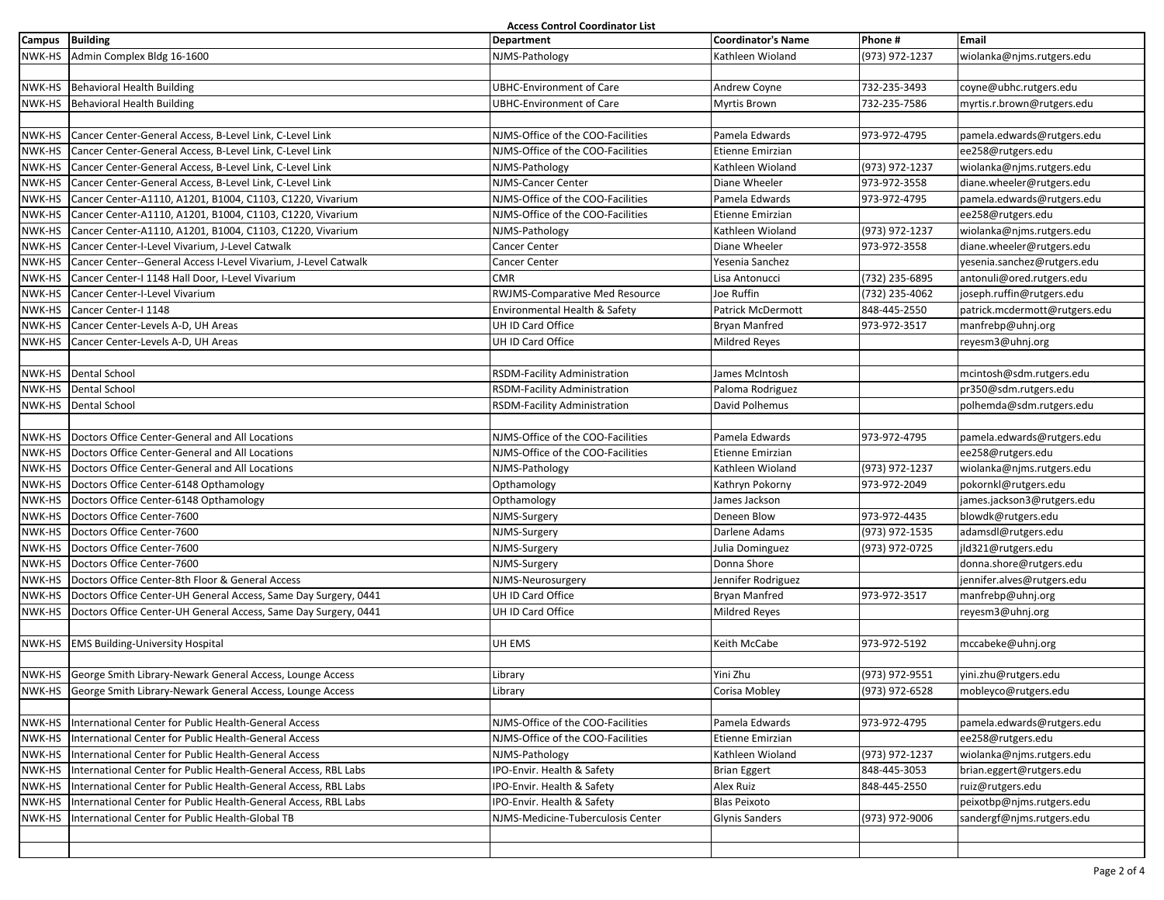| <b>Access Control Coordinator List</b> |                                                                  |                                   |                           |                |                               |  |
|----------------------------------------|------------------------------------------------------------------|-----------------------------------|---------------------------|----------------|-------------------------------|--|
| Campus Building                        |                                                                  | <b>Department</b>                 | <b>Coordinator's Name</b> | Phone #        | <b>Email</b>                  |  |
| NWK-HS                                 | Admin Complex Bldg 16-1600                                       | NJMS-Pathology                    | Kathleen Wioland          | (973) 972-1237 | wiolanka@njms.rutgers.edu     |  |
|                                        |                                                                  |                                   |                           |                |                               |  |
|                                        | NWK-HS Behavioral Health Building                                | <b>UBHC-Environment of Care</b>   | Andrew Coyne              | 732-235-3493   | coyne@ubhc.rutgers.edu        |  |
| NWK-HS                                 | Behavioral Health Building                                       | <b>UBHC-Environment of Care</b>   | <b>Myrtis Brown</b>       | 732-235-7586   | myrtis.r.brown@rutgers.edu    |  |
|                                        |                                                                  |                                   |                           |                |                               |  |
| NWK-HS                                 | Cancer Center-General Access, B-Level Link, C-Level Link         | NJMS-Office of the COO-Facilities | Pamela Edwards            | 973-972-4795   | pamela.edwards@rutgers.edu    |  |
| NWK-HS                                 | Cancer Center-General Access, B-Level Link, C-Level Link         | NJMS-Office of the COO-Facilities | Etienne Emirzian          |                | ee258@rutgers.edu             |  |
| NWK-HS                                 | Cancer Center-General Access, B-Level Link, C-Level Link         | NJMS-Pathology                    | Kathleen Wioland          | (973) 972-1237 | wiolanka@njms.rutgers.edu     |  |
| NWK-HS                                 | Cancer Center-General Access, B-Level Link, C-Level Link         | NJMS-Cancer Center                | Diane Wheeler             | 973-972-3558   | diane.wheeler@rutgers.edu     |  |
| NWK-HS                                 | Cancer Center-A1110, A1201, B1004, C1103, C1220, Vivarium        | NJMS-Office of the COO-Facilities | Pamela Edwards            | 973-972-4795   | pamela.edwards@rutgers.edu    |  |
| NWK-HS                                 | Cancer Center-A1110, A1201, B1004, C1103, C1220, Vivarium        | NJMS-Office of the COO-Facilities | Etienne Emirzian          |                | ee258@rutgers.edu             |  |
| NWK-HS                                 | Cancer Center-A1110, A1201, B1004, C1103, C1220, Vivarium        | NJMS-Pathology                    | Kathleen Wioland          | (973) 972-1237 | wiolanka@njms.rutgers.edu     |  |
| NWK-HS                                 | Cancer Center-I-Level Vivarium, J-Level Catwalk                  | Cancer Center                     | Diane Wheeler             | 973-972-3558   | diane.wheeler@rutgers.edu     |  |
| NWK-HS                                 | Cancer Center--General Access I-Level Vivarium, J-Level Catwalk  | Cancer Center                     | Yesenia Sanchez           |                | yesenia.sanchez@rutgers.edu   |  |
| NWK-HS                                 | Cancer Center-I 1148 Hall Door, I-Level Vivarium                 | <b>CMR</b>                        | Lisa Antonucci            | (732) 235-6895 | antonuli@ored.rutgers.edu     |  |
| NWK-HS                                 | Cancer Center-I-Level Vivarium                                   | RWJMS-Comparative Med Resource    | Joe Ruffin                | (732) 235-4062 | joseph.ruffin@rutgers.edu     |  |
| NWK-HS                                 | Cancer Center-I 1148                                             | Environmental Health & Safety     | Patrick McDermott         | 848-445-2550   | patrick.mcdermott@rutgers.edu |  |
| NWK-HS                                 | Cancer Center-Levels A-D, UH Areas                               | UH ID Card Office                 | <b>Bryan Manfred</b>      | 973-972-3517   | manfrebp@uhnj.org             |  |
| NWK-HS                                 | Cancer Center-Levels A-D, UH Areas                               | UH ID Card Office                 | <b>Mildred Reyes</b>      |                | reyesm3@uhnj.org              |  |
|                                        |                                                                  |                                   |                           |                |                               |  |
| NWK-HS                                 | <b>Dental School</b>                                             | RSDM-Facility Administration      | James McIntosh            |                | mcintosh@sdm.rutgers.edu      |  |
| NWK-HS                                 | Dental School                                                    | RSDM-Facility Administration      | Paloma Rodriguez          |                | pr350@sdm.rutgers.edu         |  |
| NWK-HS                                 | <b>Dental School</b>                                             | RSDM-Facility Administration      | David Polhemus            |                | polhemda@sdm.rutgers.edu      |  |
|                                        |                                                                  |                                   |                           |                |                               |  |
| NWK-HS                                 | Doctors Office Center-General and All Locations                  | NJMS-Office of the COO-Facilities | Pamela Edwards            | 973-972-4795   | pamela.edwards@rutgers.edu    |  |
| NWK-HS                                 | Doctors Office Center-General and All Locations                  | NJMS-Office of the COO-Facilities | Etienne Emirzian          |                | ee258@rutgers.edu             |  |
| NWK-HS                                 | Doctors Office Center-General and All Locations                  | NJMS-Pathology                    | Kathleen Wioland          | (973) 972-1237 | wiolanka@njms.rutgers.edu     |  |
| NWK-HS                                 | Doctors Office Center-6148 Opthamology                           | Opthamology                       | Kathryn Pokorny           | 973-972-2049   | pokornkl@rutgers.edu          |  |
| NWK-HS                                 | Doctors Office Center-6148 Opthamology                           | Opthamology                       | James Jackson             |                | james.jackson3@rutgers.edu    |  |
| NWK-HS                                 | Doctors Office Center-7600                                       | NJMS-Surgery                      | Deneen Blow               | 973-972-4435   | blowdk@rutgers.edu            |  |
| NWK-HS                                 | Doctors Office Center-7600                                       | NJMS-Surgery                      | Darlene Adams             | (973) 972-1535 | adamsdl@rutgers.edu           |  |
| NWK-HS                                 | Doctors Office Center-7600                                       | NJMS-Surgery                      | Julia Dominguez           | (973) 972-0725 | jld321@rutgers.edu            |  |
| NWK-HS                                 | Doctors Office Center-7600                                       | NJMS-Surgery                      | Donna Shore               |                | donna.shore@rutgers.edu       |  |
| NWK-HS                                 | Doctors Office Center-8th Floor & General Access                 | NJMS-Neurosurgery                 | Jennifer Rodriguez        |                | jennifer.alves@rutgers.edu    |  |
| NWK-HS                                 | Doctors Office Center-UH General Access, Same Day Surgery, 0441  | UH ID Card Office                 | <b>Bryan Manfred</b>      | 973-972-3517   | manfrebp@uhnj.org             |  |
| NWK-HS                                 | Doctors Office Center-UH General Access, Same Day Surgery, 0441  | UH ID Card Office                 | <b>Mildred Reyes</b>      |                | reyesm3@uhnj.org              |  |
|                                        |                                                                  |                                   |                           |                |                               |  |
|                                        | NWK-HS EMS Building-University Hospital                          | UH EMS                            | Keith McCabe              | 973-972-5192   | mccabeke@uhnj.org             |  |
|                                        |                                                                  |                                   |                           |                |                               |  |
|                                        | NWK-HS George Smith Library-Newark General Access, Lounge Access | Library                           | Yini Zhu                  | (973) 972-9551 | yini.zhu@rutgers.edu          |  |
|                                        | NWK-HS George Smith Library-Newark General Access, Lounge Access | Library                           | Corisa Mobley             | (973) 972-6528 | mobleyco@rutgers.edu          |  |
|                                        |                                                                  |                                   |                           |                |                               |  |
| NWK-HS                                 | International Center for Public Health-General Access            | NJMS-Office of the COO-Facilities | Pamela Edwards            | 973-972-4795   | pamela.edwards@rutgers.edu    |  |
| NWK-HS                                 | International Center for Public Health-General Access            | NJMS-Office of the COO-Facilities | Etienne Emirzian          |                | ee258@rutgers.edu             |  |
| NWK-HS                                 | International Center for Public Health-General Access            | NJMS-Pathology                    | Kathleen Wioland          | (973) 972-1237 | wiolanka@njms.rutgers.edu     |  |
| NWK-HS                                 | International Center for Public Health-General Access, RBL Labs  | IPO-Envir. Health & Safety        | <b>Brian Eggert</b>       | 848-445-3053   | brian.eggert@rutgers.edu      |  |
| NWK-HS                                 | International Center for Public Health-General Access, RBL Labs  | IPO-Envir. Health & Safety        | Alex Ruiz                 | 848-445-2550   | ruiz@rutgers.edu              |  |
| NWK-HS                                 | International Center for Public Health-General Access, RBL Labs  | IPO-Envir. Health & Safety        | <b>Blas Peixoto</b>       |                | peixotbp@njms.rutgers.edu     |  |
| NWK-HS                                 | International Center for Public Health-Global TB                 | NJMS-Medicine-Tuberculosis Center | <b>Glynis Sanders</b>     | (973) 972-9006 | sandergf@njms.rutgers.edu     |  |
|                                        |                                                                  |                                   |                           |                |                               |  |
|                                        |                                                                  |                                   |                           |                |                               |  |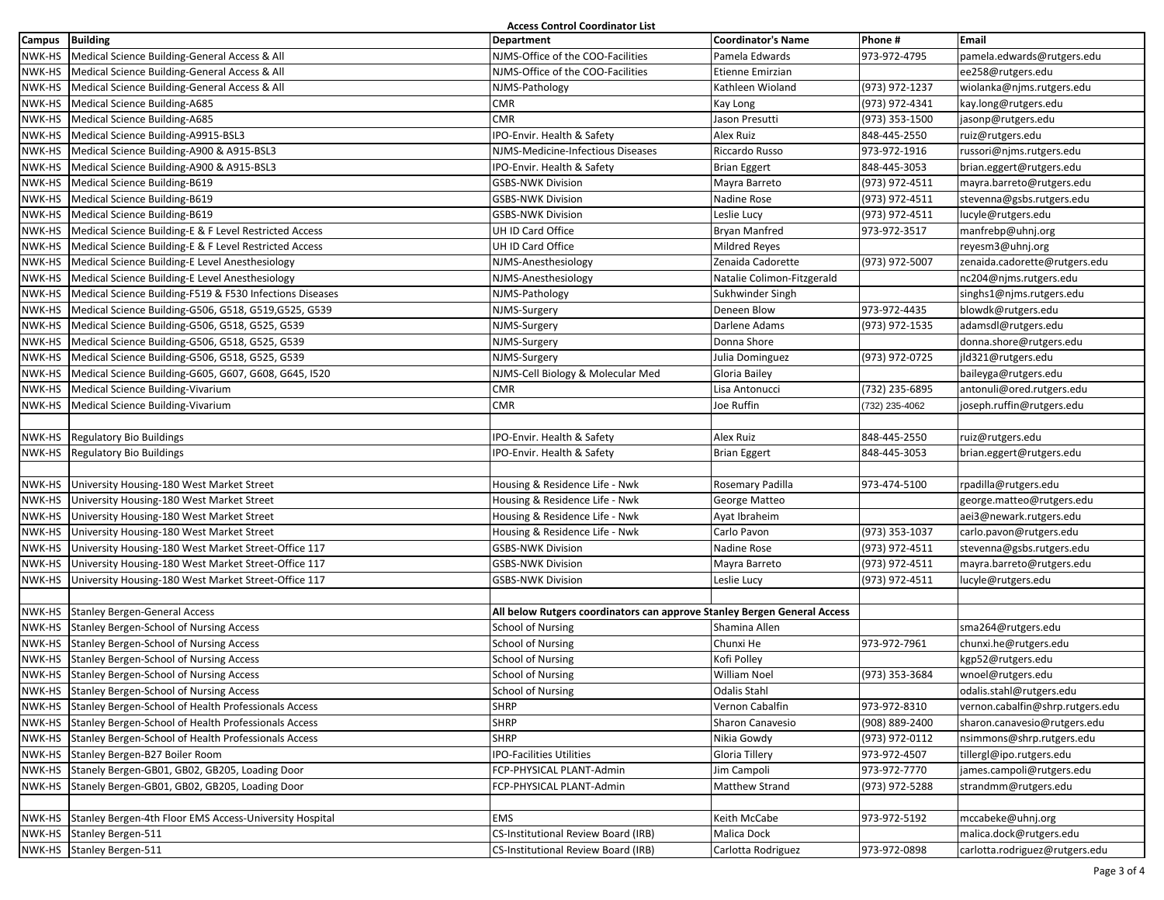| <b>Access Control Coordinator List</b> |                                                                                                                     |                                                                          |                                    |                |                                                       |
|----------------------------------------|---------------------------------------------------------------------------------------------------------------------|--------------------------------------------------------------------------|------------------------------------|----------------|-------------------------------------------------------|
| Campus Building                        |                                                                                                                     | <b>Department</b>                                                        | <b>Coordinator's Name</b>          | Phone #        | Email                                                 |
| NWK-HS                                 | Medical Science Building-General Access & All                                                                       | NJMS-Office of the COO-Facilities                                        | Pamela Edwards                     | 973-972-4795   | pamela.edwards@rutgers.edu                            |
| NWK-HS                                 | Medical Science Building-General Access & All                                                                       | NJMS-Office of the COO-Facilities                                        | Etienne Emirzian                   |                | ee258@rutgers.edu                                     |
| NWK-HS                                 | Medical Science Building-General Access & All                                                                       | NJMS-Pathology                                                           | Kathleen Wioland                   | (973) 972-1237 | wiolanka@njms.rutgers.edu                             |
| NWK-HS                                 | Medical Science Building-A685                                                                                       | <b>CMR</b>                                                               | Kay Long                           | (973) 972-4341 | kay.long@rutgers.edu                                  |
| NWK-HS                                 | Medical Science Building-A685                                                                                       | <b>CMR</b>                                                               | Jason Presutti                     | (973) 353-1500 | jasonp@rutgers.edu                                    |
| NWK-HS                                 | Medical Science Building-A9915-BSL3                                                                                 | IPO-Envir. Health & Safety                                               | Alex Ruiz                          | 848-445-2550   | ruiz@rutgers.edu                                      |
| NWK-HS                                 | Medical Science Building-A900 & A915-BSL3                                                                           | NJMS-Medicine-Infectious Diseases                                        | Riccardo Russo                     | 973-972-1916   | russori@njms.rutgers.edu                              |
|                                        | NWK-HS   Medical Science Building-A900 & A915-BSL3                                                                  | IPO-Envir. Health & Safety                                               | <b>Brian Eggert</b>                | 848-445-3053   | brian.eggert@rutgers.edu                              |
| NWK-HS                                 | Medical Science Building-B619                                                                                       | <b>GSBS-NWK Division</b>                                                 | Mayra Barreto                      | (973) 972-4511 | mayra.barreto@rutgers.edu                             |
| NWK-HS                                 | Medical Science Building-B619                                                                                       | <b>GSBS-NWK Division</b>                                                 | Nadine Rose                        | (973) 972-4511 | stevenna@gsbs.rutgers.edu                             |
| NWK-HS                                 | Medical Science Building-B619                                                                                       | <b>GSBS-NWK Division</b>                                                 | Leslie Lucy                        | (973) 972-4511 | lucyle@rutgers.edu                                    |
| NWK-HS                                 | Medical Science Building-E & F Level Restricted Access                                                              | UH ID Card Office                                                        | Bryan Manfred                      | 973-972-3517   | manfrebp@uhnj.org                                     |
|                                        | NWK-HS   Medical Science Building-E & F Level Restricted Access                                                     | UH ID Card Office                                                        | Mildred Reyes                      |                | reyesm3@uhnj.org                                      |
| NWK-HS                                 | Medical Science Building-E Level Anesthesiology                                                                     | NJMS-Anesthesiology                                                      | Zenaida Cadorette                  | (973) 972-5007 | zenaida.cadorette@rutgers.edu                         |
| NWK-HS                                 | Medical Science Building-E Level Anesthesiology                                                                     | NJMS-Anesthesiology                                                      | Natalie Colimon-Fitzgerald         |                | nc204@njms.rutgers.edu                                |
| NWK-HS                                 | Medical Science Building-F519 & F530 Infections Diseases                                                            | NJMS-Pathology                                                           | Sukhwinder Singh                   |                | singhs1@njms.rutgers.edu                              |
| NWK-HS                                 | Medical Science Building-G506, G518, G519, G525, G539                                                               | NJMS-Surgery                                                             | Deneen Blow                        | 973-972-4435   | blowdk@rutgers.edu                                    |
|                                        | NWK-HS   Medical Science Building-G506, G518, G525, G539                                                            | NJMS-Surgery                                                             | Darlene Adams                      | (973) 972-1535 | adamsdl@rutgers.edu                                   |
| NWK-HS                                 | Medical Science Building-G506, G518, G525, G539                                                                     | NJMS-Surgery                                                             | Donna Shore                        |                | donna.shore@rutgers.edu                               |
| NWK-HS                                 | Medical Science Building-G506, G518, G525, G539                                                                     | NJMS-Surgery                                                             | Julia Dominguez                    | (973) 972-0725 | jld321@rutgers.edu                                    |
| NWK-HS                                 | Medical Science Building-G605, G607, G608, G645, I520                                                               | NJMS-Cell Biology & Molecular Med                                        | Gloria Bailey                      |                | baileyga@rutgers.edu                                  |
| NWK-HS                                 | Medical Science Building-Vivarium                                                                                   | <b>CMR</b>                                                               | Lisa Antonucci                     | (732) 235-6895 | antonuli@ored.rutgers.edu                             |
| NWK-HS                                 | Medical Science Building-Vivarium                                                                                   | <b>CMR</b>                                                               | Joe Ruffin                         | (732) 235-4062 | joseph.ruffin@rutgers.edu                             |
|                                        |                                                                                                                     |                                                                          |                                    |                |                                                       |
| NWK-HS                                 | <b>Regulatory Bio Buildings</b>                                                                                     | IPO-Envir. Health & Safety                                               | Alex Ruiz                          | 848-445-2550   | ruiz@rutgers.edu                                      |
| NWK-HS                                 | <b>Regulatory Bio Buildings</b>                                                                                     | IPO-Envir. Health & Safety                                               | <b>Brian Eggert</b>                | 848-445-3053   | brian.eggert@rutgers.edu                              |
|                                        |                                                                                                                     |                                                                          |                                    |                |                                                       |
|                                        | NWK-HS University Housing-180 West Market Street                                                                    | Housing & Residence Life - Nwk                                           | Rosemary Padilla                   | 973-474-5100   | rpadilla@rutgers.edu                                  |
| NWK-HS                                 | University Housing-180 West Market Street                                                                           | Housing & Residence Life - Nwk                                           | George Matteo                      |                | george.matteo@rutgers.edu                             |
| NWK-HS                                 | University Housing-180 West Market Street                                                                           | Housing & Residence Life - Nwk                                           | Ayat Ibraheim                      |                | aei3@newark.rutgers.edu                               |
| NWK-HS                                 | University Housing-180 West Market Street                                                                           | Housing & Residence Life - Nwk                                           | Carlo Pavon                        | (973) 353-1037 | carlo.pavon@rutgers.edu                               |
| NWK-HS                                 | University Housing-180 West Market Street-Office 117                                                                | <b>GSBS-NWK Division</b>                                                 | Nadine Rose                        | (973) 972-4511 | stevenna@gsbs.rutgers.edu                             |
|                                        | NWK-HS University Housing-180 West Market Street-Office 117                                                         | <b>GSBS-NWK Division</b>                                                 | Mayra Barreto                      | (973) 972-4511 | mayra.barreto@rutgers.edu                             |
| NWK-HS                                 | University Housing-180 West Market Street-Office 117                                                                | <b>GSBS-NWK Division</b>                                                 | Leslie Lucy                        | (973) 972-4511 | lucyle@rutgers.edu                                    |
|                                        |                                                                                                                     |                                                                          |                                    |                |                                                       |
| NWK-HS                                 | <b>Stanley Bergen-General Access</b>                                                                                | All below Rutgers coordinators can approve Stanley Bergen General Access |                                    |                |                                                       |
| NWK-HS                                 | Stanley Bergen-School of Nursing Access                                                                             | School of Nursing                                                        | Shamina Allen                      | 973-972-7961   | sma264@rutgers.edu                                    |
| NWK-HS                                 | Stanley Bergen-School of Nursing Access                                                                             | <b>School of Nursing</b>                                                 | Chunxi He                          |                | chunxi.he@rutgers.edu                                 |
| NWK-HS                                 | NWK-HS Stanley Bergen-School of Nursing Access                                                                      | <b>School of Nursing</b>                                                 | Kofi Polley<br><b>William Noel</b> |                | kgp52@rutgers.edu                                     |
|                                        | Stanley Bergen-School of Nursing Access                                                                             | <b>School of Nursing</b>                                                 |                                    | (973) 353-3684 | wnoel@rutgers.edu                                     |
|                                        | NWK-HS Stanley Bergen-School of Nursing Access                                                                      | <b>School of Nursing</b>                                                 | Odalis Stahl                       |                | odalis.stahl@rutgers.edu                              |
|                                        | NWK-HS Stanley Bergen-School of Health Professionals Access                                                         | <b>SHRP</b>                                                              | Vernon Cabalfin                    | 973-972-8310   | vernon.cabalfin@shrp.rutgers.edu                      |
|                                        | NWK-HS Stanley Bergen-School of Health Professionals Access<br>Stanley Bergen-School of Health Professionals Access | <b>SHRP</b>                                                              | Sharon Canavesio                   | (908) 889-2400 | sharon.canavesio@rutgers.edu                          |
| NWK-HS                                 |                                                                                                                     | <b>SHRP</b>                                                              | Nikia Gowdy                        | (973) 972-0112 | nsimmons@shrp.rutgers.edu                             |
| NWK-HS                                 | Stanley Bergen-B27 Boiler Room<br>Stanely Bergen-GB01, GB02, GB205, Loading Door                                    | <b>IPO-Facilities Utilities</b>                                          | Gloria Tillery                     | 973-972-4507   | tillergl@ipo.rutgers.edu<br>james.campoli@rutgers.edu |
| NWK-HS                                 |                                                                                                                     | FCP-PHYSICAL PLANT-Admin                                                 | lim Campoli                        | 973-972-7770   |                                                       |
| NWK-HS                                 | Stanely Bergen-GB01, GB02, GB205, Loading Door                                                                      | FCP-PHYSICAL PLANT-Admin                                                 | Matthew Strand                     | (973) 972-5288 | strandmm@rutgers.edu                                  |
|                                        | NWK-HS Stanley Bergen-4th Floor EMS Access-University Hospital                                                      | EMS                                                                      | Keith McCabe                       | 973-972-5192   |                                                       |
|                                        | NWK-HS Stanley Bergen-511                                                                                           | <b>CS-Institutional Review Board (IRB)</b>                               | Malica Dock                        |                | mccabeke@uhnj.org<br>malica.dock@rutgers.edu          |
|                                        | NWK-HS Stanley Bergen-511                                                                                           | <b>CS-Institutional Review Board (IRB)</b>                               |                                    | 973-972-0898   | carlotta.rodriguez@rutgers.edu                        |
|                                        |                                                                                                                     |                                                                          | Carlotta Rodriguez                 |                |                                                       |